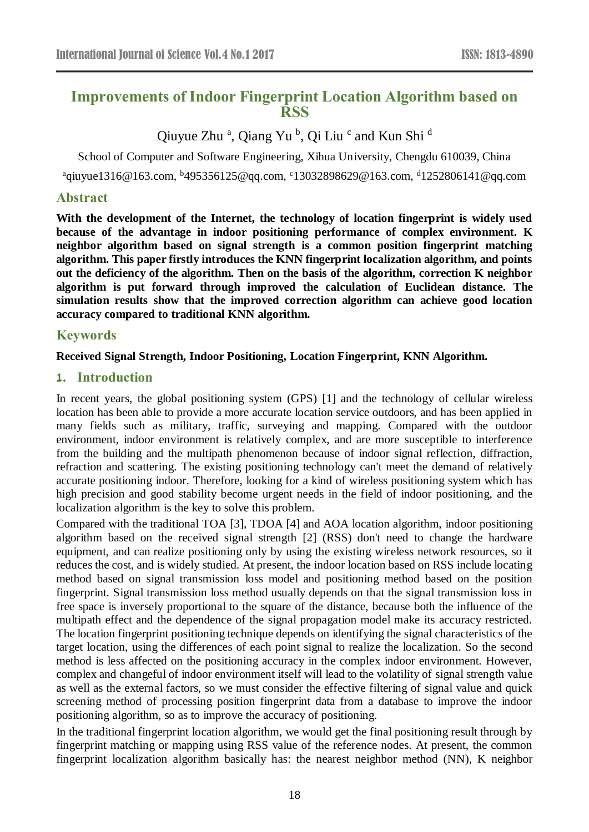# **Improvements of Indoor Fingerprint Location Algorithm based on RSS**

# Qiuyue Zhu<sup>a</sup>, Qiang Yu<sup>b</sup>, Qi Liu<sup>c</sup> and Kun Shi<sup>d</sup>

School of Computer and Software Engineering, Xihua University, Chengdu 610039, China

<sup>a</sup>qiuyue1316@163.com, <sup>b</sup>495356125@qq.com, <sup>c</sup>13032898629@163.com, <sup>d</sup>1252806141@qq.com

## **Abstract**

**With the development of the Internet, the technology of location fingerprint is widely used because of the advantage in indoor positioning performance of complex environment. K neighbor algorithm based on signal strength is a common position fingerprint matching algorithm. This paper firstly introduces the KNN fingerprint localization algorithm, and points out the deficiency of the algorithm. Then on the basis of the algorithm, correction K neighbor algorithm is put forward through improved the calculation of Euclidean distance. The simulation results show that the improved correction algorithm can achieve good location accuracy compared to traditional KNN algorithm.**

## **Keywords**

### **Received Signal Strength, Indoor Positioning, Location Fingerprint, KNN Algorithm.**

### **1. Introduction**

In recent years, the global positioning system (GPS) [1] and the technology of cellular wireless location has been able to provide a more accurate location service outdoors, and has been applied in many fields such as military, traffic, surveying and mapping. Compared with the outdoor environment, indoor environment is relatively complex, and are more susceptible to interference from the building and the multipath phenomenon because of indoor signal reflection, diffraction, refraction and scattering. The existing positioning technology can't meet the demand of relatively accurate positioning indoor. Therefore, looking for a kind of wireless positioning system which has high precision and good stability become urgent needs in the field of indoor positioning, and the localization algorithm is the key to solve this problem.

Compared with the traditional TOA [3], TDOA [4] and AOA location algorithm, indoor positioning algorithm based on the received signal strength [2] (RSS) don't need to change the hardware equipment, and can realize positioning only by using the existing wireless network resources, so it reduces the cost, and is widely studied. At present, the indoor location based on RSS include locating method based on signal transmission loss model and positioning method based on the position fingerprint. Signal transmission loss method usually depends on that the signal transmission loss in free space is inversely proportional to the square of the distance, because both the influence of the multipath effect and the dependence of the signal propagation model make its accuracy restricted. The location fingerprint positioning technique depends on identifying the signal characteristics of the target location, using the differences of each point signal to realize the localization. So the second method is less affected on the positioning accuracy in the complex indoor environment. However, complex and changeful of indoor environment itself will lead to the volatility of signal strength value as well as the external factors, so we must consider the effective filtering of signal value and quick screening method of processing position fingerprint data from a database to improve the indoor positioning algorithm, so as to improve the accuracy of positioning.

In the traditional fingerprint location algorithm, we would get the final positioning result through by fingerprint matching or mapping using RSS value of the reference nodes. At present, the common fingerprint localization algorithm basically has: the nearest neighbor method (NN), K neighbor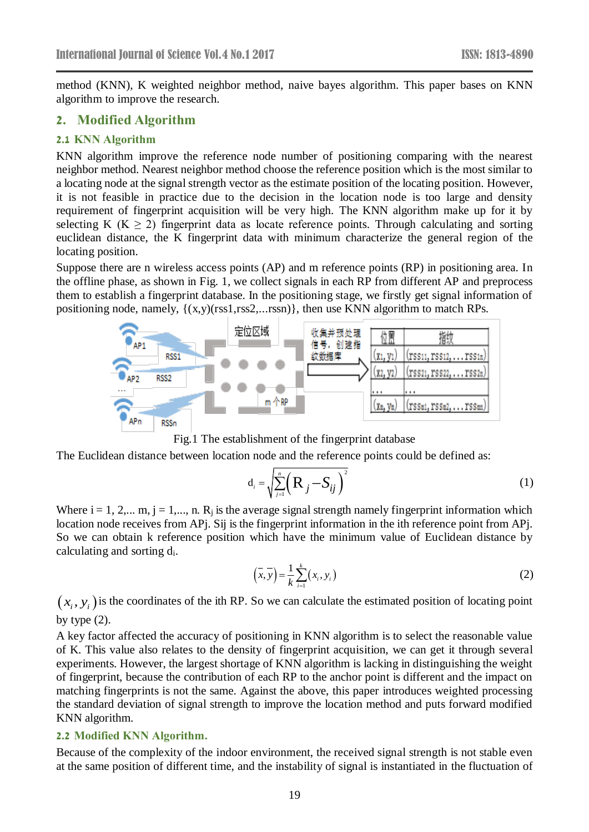method (KNN), K weighted neighbor method, naive bayes algorithm. This paper bases on KNN algorithm to improve the research.

### **2. Modified Algorithm**

#### **2.1 KNN Algorithm**

KNN algorithm improve the reference node number of positioning comparing with the nearest neighbor method. Nearest neighbor method choose the reference position which is the most similar to a locating node at the signal strength vector as the estimate position of the locating position. However, it is not feasible in practice due to the decision in the location node is too large and density requirement of fingerprint acquisition will be very high. The KNN algorithm make up for it by selecting K ( $K \ge 2$ ) fingerprint data as locate reference points. Through calculating and sorting euclidean distance, the K fingerprint data with minimum characterize the general region of the locating position.

Suppose there are n wireless access points (AP) and m reference points (RP) in positioning area. In the offline phase, as shown in [Fig. 1,](#page-1-0) we collect signals in each RP from different AP and preprocess them to establish a fingerprint database. In the positioning stage, we firstly get signal information of positioning node, namely,  $\{(x,y)(\text{rss1},\text{rss2},... \text{rss})\}$ , then use KNN algorithm to match RPs.





<span id="page-1-0"></span>The Euclidean distance between location node and the reference points could be defined as:

$$
\mathbf{d}_{i} = \sqrt{\sum_{j=1}^{n} \left(\mathbf{R}_{j} - \mathbf{S}_{ij}\right)^{2}}
$$
 (1)

Where  $i = 1, 2,..., m$ ,  $j = 1,..., n$ . R<sub>i</sub> is the average signal strength namely fingerprint information which location node receives from APj. Sij is the fingerprint information in the ith reference point from APj. So we can obtain k reference position which have the minimum value of Euclidean distance by calculating and sorting di.

$$
\left(\overline{x}, \overline{y}\right) = \frac{1}{k} \sum_{i=1}^{k} \left(x_i, y_i\right) \tag{2}
$$

 $(x_i, y_i)$  is the coordinates of the ith RP. So we can calculate the estimated position of locating point by type  $(2)$ .

A key factor affected the accuracy of positioning in KNN algorithm is to select the reasonable value of K. This value also relates to the density of fingerprint acquisition, we can get it through several experiments. However, the largest shortage of KNN algorithm is lacking in distinguishing the weight of fingerprint, because the contribution of each RP to the anchor point is different and the impact on matching fingerprints is not the same. Against the above, this paper introduces weighted processing the standard deviation of signal strength to improve the location method and puts forward modified KNN algorithm.

#### **2.2 Modified KNN Algorithm.**

Because of the complexity of the indoor environment, the received signal strength is not stable even at the same position of different time, and the instability of signal is instantiated in the fluctuation of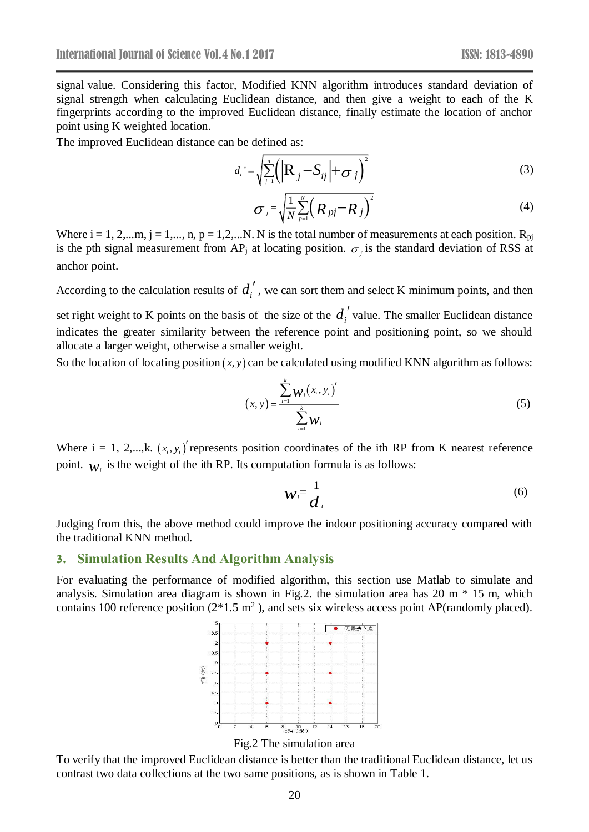signal value. Considering this factor, Modified KNN algorithm introduces standard deviation of signal strength when calculating Euclidean distance, and then give a weight to each of the K fingerprints according to the improved Euclidean distance, finally estimate the location of anchor point using K weighted location.

The improved Euclidean distance can be defined as:

$$
d_i = \sqrt{\sum_{j=1}^n \left( \left| \mathbf{R}_{j} - S_{ij} \right| + \sigma_j \right)^2}
$$
 (3)

$$
\sigma_j = \sqrt{\frac{1}{N} \sum_{p=1}^{N} \left( R_{pj} - R_j \right)^2}
$$
 (4)

Where  $i = 1, 2,...m$ ,  $j = 1,..., n$ ,  $p = 1,2,...N$ . N is the total number of measurements at each position.  $R_{pi}$ is the pth signal measurement from AP<sub>j</sub> at locating position.  $\sigma_j$  is the standard deviation of RSS at anchor point.

According to the calculation results of  $d_i'$ , we can sort them and select K minimum points, and then

set right weight to K points on the basis of the size of the  $d_i'$  value. The smaller Euclidean distance indicates the greater similarity between the reference point and positioning point, so we should allocate a larger weight, otherwise a smaller weight.

So the location of locating position  $(x, y)$  can be calculated using modified KNN algorithm as follows:

$$
(x, y) = \frac{\sum_{i=1}^{k} w_i (x_i, y_i)'}{\sum_{i=1}^{k} w_i}
$$
 (5)

Where  $i = 1, 2,...,k$ .  $(x_i, y_i)$  represents position coordinates of the ith RP from K nearest reference point.  $w_i$  is the weight of the ith RP. Its computation formula is as follows:

$$
W_i = \frac{1}{d_i} \tag{6}
$$

Judging from this, the above method could improve the indoor positioning accuracy compared with the traditional KNN method.

#### **3. Simulation Results And Algorithm Analysis**

For evaluating the performance of modified algorithm, this section use Matlab to simulate and analysis. Simulation area diagram is shown in [Fig.2.](#page-2-0) the simulation area has 20 m \* 15 m, which contains 100 reference position  $(2*1.5 \text{ m}^2)$ , and sets six wireless access point AP(randomly placed).





<span id="page-2-0"></span>To verify that the improved Euclidean distance is better than the traditional Euclidean distance, let us contrast two data collections at the two same positions, as is shown in [Table](#page-3-0) 1.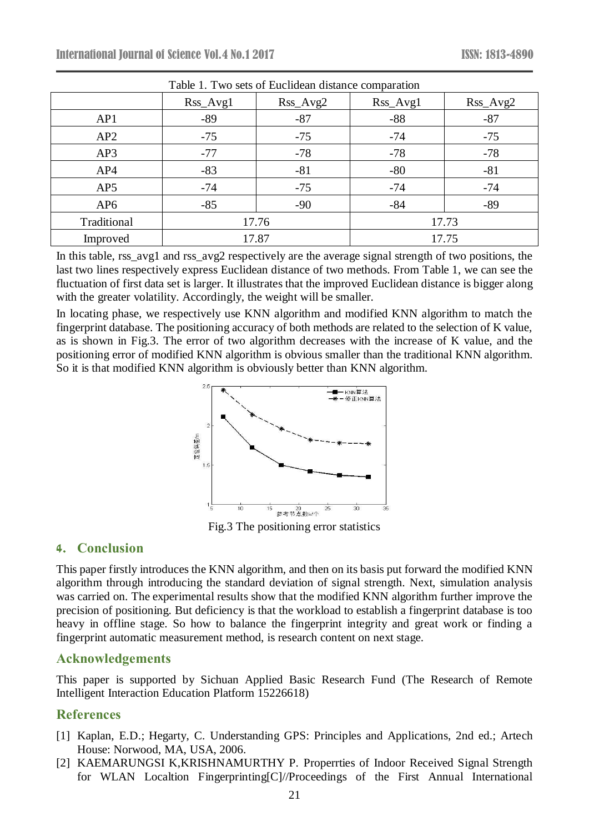<span id="page-3-0"></span>

| I able 1. I wo sets of Euclidean distance comparation |          |            |          |            |
|-------------------------------------------------------|----------|------------|----------|------------|
|                                                       | Rss_Avg1 | $Rss_Avg2$ | Rss_Avg1 | $Rss_Avg2$ |
| AP1                                                   | $-89$    | $-87$      | $-88$    | $-87$      |
| AP2                                                   | $-75$    | $-75$      | $-74$    | $-75$      |
| AP3                                                   | $-77$    | $-78$      | $-78$    | $-78$      |
| AP4                                                   | $-83$    | $-81$      | $-80$    | $-81$      |
| AP5                                                   | $-74$    | $-75$      | $-74$    | $-74$      |
| AP <sub>6</sub>                                       | $-85$    | $-90$      | $-84$    | $-89$      |
| Traditional                                           | 17.76    |            | 17.73    |            |
| Improved                                              | 17.87    |            | 17.75    |            |

Table 1. Two sets of Euclidean distance comparation

In this table, rss avg1 and rss avg2 respectively are the average signal strength of two positions, the last two lines respectively express Euclidean distance of two methods. From [Table 1,](#page-3-0) we can see the fluctuation of first data set is larger. It illustrates that the improved Euclidean distance is bigger along with the greater volatility. Accordingly, the weight will be smaller.

In locating phase, we respectively use KNN algorithm and modified KNN algorithm to match the fingerprint database. The positioning accuracy of both methods are related to the selection of K value, as is shown in [Fig.3.](#page-3-1) The error of two algorithm decreases with the increase of K value, and the positioning error of modified KNN algorithm is obvious smaller than the traditional KNN algorithm. So it is that modified KNN algorithm is obviously better than KNN algorithm.



Fig.3 The positioning error statistics

## <span id="page-3-1"></span>**4. Conclusion**

This paper firstly introduces the KNN algorithm, and then on its basis put forward the modified KNN algorithm through introducing the standard deviation of signal strength. Next, simulation analysis was carried on. The experimental results show that the modified KNN algorithm further improve the precision of positioning. But deficiency is that the workload to establish a fingerprint database is too heavy in offline stage. So how to balance the fingerprint integrity and great work or finding a fingerprint automatic measurement method, is research content on next stage.

## **Acknowledgements**

This paper is supported by Sichuan Applied Basic Research Fund (The Research of Remote Intelligent Interaction Education Platform 15226618)

# **References**

- [1] Kaplan, E.D.; Hegarty, C. Understanding GPS: Principles and Applications, 2nd ed.; Artech House: Norwood, MA, USA, 2006.
- [2] KAEMARUNGSI K,KRISHNAMURTHY P. Properrties of Indoor Received Signal Strength for WLAN Localtion Fingerprinting[C]//Proceedings of the First Annual International